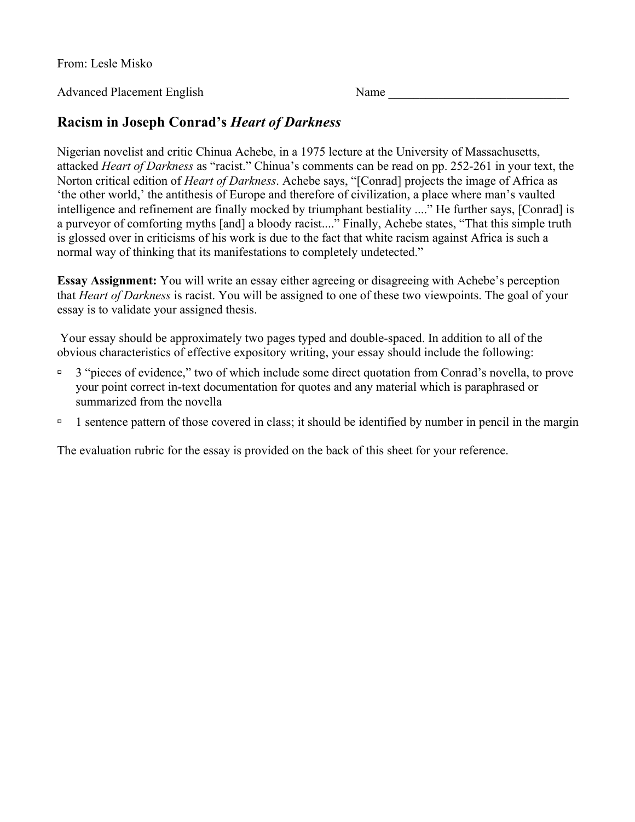From: Lesle Misko

Advanced Placement English Name

## **Racism in Joseph Conrad's** *Heart of Darkness*

Nigerian novelist and critic Chinua Achebe, in a 1975 lecture at the University of Massachusetts, attacked *Heart of Darkness* as "racist." Chinua's comments can be read on pp. 252-261 in your text, the Norton critical edition of *Heart of Darkness*. Achebe says, "[Conrad] projects the image of Africa as 'the other world,' the antithesis of Europe and therefore of civilization, a place where man's vaulted intelligence and refinement are finally mocked by triumphant bestiality ...." He further says, [Conrad] is a purveyor of comforting myths [and] a bloody racist...." Finally, Achebe states, "That this simple truth is glossed over in criticisms of his work is due to the fact that white racism against Africa is such a normal way of thinking that its manifestations to completely undetected."

**Essay Assignment:** You will write an essay either agreeing or disagreeing with Achebe's perception that *Heart of Darkness* is racist. You will be assigned to one of these two viewpoints. The goal of your essay is to validate your assigned thesis.

Your essay should be approximately two pages typed and double-spaced. In addition to all of the obvious characteristics of effective expository writing, your essay should include the following:

- $\overline{a}$  3 "pieces of evidence," two of which include some direct quotation from Conrad's novella, to prove your point correct in-text documentation for quotes and any material which is paraphrased or summarized from the novella
- <sup> $\Box$ </sup> 1 sentence pattern of those covered in class; it should be identified by number in pencil in the margin

The evaluation rubric for the essay is provided on the back of this sheet for your reference.